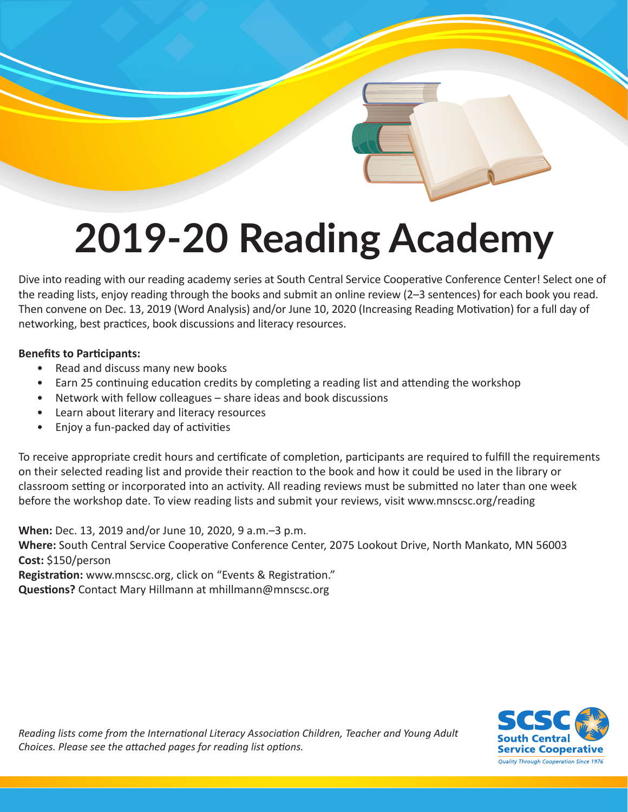# **2019-20 Reading Academy**

Dive into reading with our reading academy series at South Central Service Cooperative Conference Center! Select one of the reading lists, enjoy reading through the books and submit an online review (2–3 sentences) for each book you read. Then convene on Dec. 13, 2019 (Word Analysis) and/or June 10, 2020 (Increasing Reading Motivation) for a full day of networking, best practices, book discussions and literacy resources.

### **Benefits to Participants:**

- Read and discuss many new books
- Earn 25 continuing education credits by completing a reading list and attending the workshop
- Network with fellow colleagues share ideas and book discussions
- Learn about literary and literacy resources
- Enjoy a fun-packed day of activities

To receive appropriate credit hours and certificate of completion, participants are required to fulfill the requirements on their selected reading list and provide their reaction to the book and how it could be used in the library or classroom setting or incorporated into an activity. All reading reviews must be submitted no later than one week before the workshop date. To view reading lists and submit your reviews, visit www.mnscsc.org/reading

**When:** Dec. 13, 2019 and/or June 10, 2020, 9 a.m.–3 p.m. **Where:** South Central Service Cooperative Conference Center, 2075 Lookout Drive, North Mankato, MN 56003 **Cost:** \$150/person **Registration:** www.mnscsc.org, click on "Events & Registration."

**Questions?** Contact Mary Hillmann at mhillmann@mnscsc.org



*Reading lists come from the International Literacy Association Children, Teacher and Young Adult Choices. Please see the attached pages for reading list options.*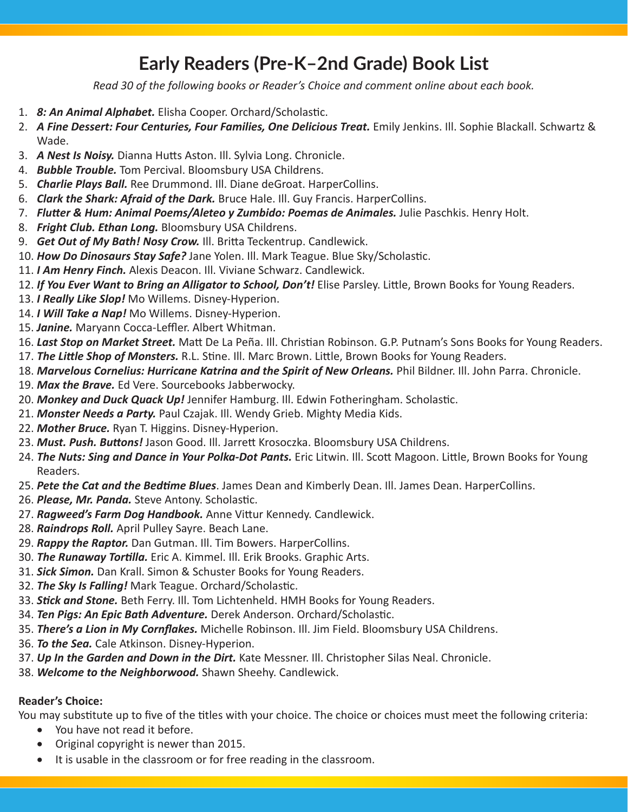# **Early Readers (Pre-K–2nd Grade) Book List**

*Read 30 of the following books or Reader's Choice and comment online about each book.*

- 1. *8: An Animal Alphabet.* Elisha Cooper. Orchard/Scholastic.
- 2. *A Fine Dessert: Four Centuries, Four Families, One Delicious Treat.* Emily Jenkins. Ill. Sophie Blackall. Schwartz & Wade.
- 3. *A Nest Is Noisy.* Dianna Hutts Aston. Ill. Sylvia Long. Chronicle.
- 4. *Bubble Trouble.* Tom Percival. Bloomsbury USA Childrens.
- 5. *Charlie Plays Ball.* Ree Drummond. Ill. Diane deGroat. HarperCollins.
- 6. *Clark the Shark: Afraid of the Dark.* Bruce Hale. Ill. Guy Francis. HarperCollins.
- 7. *Flutter & Hum: Animal Poems/Aleteo y Zumbido: Poemas de Animales.* Julie Paschkis. Henry Holt.
- 8. *Fright Club. Ethan Long.* Bloomsbury USA Childrens.
- 9. *Get Out of My Bath! Nosy Crow.* Ill. Britta Teckentrup. Candlewick.
- 10. *How Do Dinosaurs Stay Safe?* Jane Yolen. Ill. Mark Teague. Blue Sky/Scholastic.
- 11. *I Am Henry Finch.* Alexis Deacon. Ill. Viviane Schwarz. Candlewick.
- 12. *If You Ever Want to Bring an Alligator to School, Don't!* Elise Parsley. Little, Brown Books for Young Readers.
- 13. *I Really Like Slop!* Mo Willems. Disney-Hyperion.
- 14. *I Will Take a Nap!* Mo Willems. Disney-Hyperion.
- 15. *Janine.* Maryann Cocca-Leffler. Albert Whitman.
- 16. *Last Stop on Market Street.* Matt De La Peña. Ill. Christian Robinson. G.P. Putnam's Sons Books for Young Readers.
- 17. *The Little Shop of Monsters.* R.L. Stine. Ill. Marc Brown. Little, Brown Books for Young Readers.
- 18. *Marvelous Cornelius: Hurricane Katrina and the Spirit of New Orleans.* Phil Bildner. Ill. John Parra. Chronicle.
- 19. *Max the Brave.* Ed Vere. Sourcebooks Jabberwocky.
- 20. *Monkey and Duck Quack Up!* Jennifer Hamburg. Ill. Edwin Fotheringham. Scholastic.
- 21. *Monster Needs a Party.* Paul Czajak. Ill. Wendy Grieb. Mighty Media Kids.
- 22. *Mother Bruce.* Ryan T. Higgins. Disney-Hyperion.
- 23. *Must. Push. Buttons!* Jason Good. Ill. Jarrett Krosoczka. Bloomsbury USA Childrens.
- 24. *The Nuts: Sing and Dance in Your Polka-Dot Pants.* Eric Litwin. Ill. Scott Magoon. Little, Brown Books for Young Readers.
- 25. *Pete the Cat and the Bedtime Blues*. James Dean and Kimberly Dean. Ill. James Dean. HarperCollins.
- 26. *Please, Mr. Panda.* Steve Antony. Scholastic.
- 27. *Ragweed's Farm Dog Handbook.* Anne Vittur Kennedy. Candlewick.
- 28. *Raindrops Roll.* April Pulley Sayre. Beach Lane.
- 29. *Rappy the Raptor.* Dan Gutman. Ill. Tim Bowers. HarperCollins.
- 30. *The Runaway Tortilla.* Eric A. Kimmel. Ill. Erik Brooks. Graphic Arts.
- 31. *Sick Simon.* Dan Krall. Simon & Schuster Books for Young Readers.
- 32. *The Sky Is Falling!* Mark Teague. Orchard/Scholastic.
- 33. *Stick and Stone.* Beth Ferry. Ill. Tom Lichtenheld. HMH Books for Young Readers.
- 34. *Ten Pigs: An Epic Bath Adventure.* Derek Anderson. Orchard/Scholastic.
- 35. *There's a Lion in My Cornflakes.* Michelle Robinson. Ill. Jim Field. Bloomsbury USA Childrens.
- 36. *To the Sea.* Cale Atkinson. Disney-Hyperion.
- 37. *Up In the Garden and Down in the Dirt.* Kate Messner. Ill. Christopher Silas Neal. Chronicle.
- 38. *Welcome to the Neighborwood.* Shawn Sheehy. Candlewick.

## **Reader's Choice:**

You may substitute up to five of the titles with your choice. The choice or choices must meet the following criteria:

- • You have not read it before.
- • Original copyright is newer than 2015.
- It is usable in the classroom or for free reading in the classroom.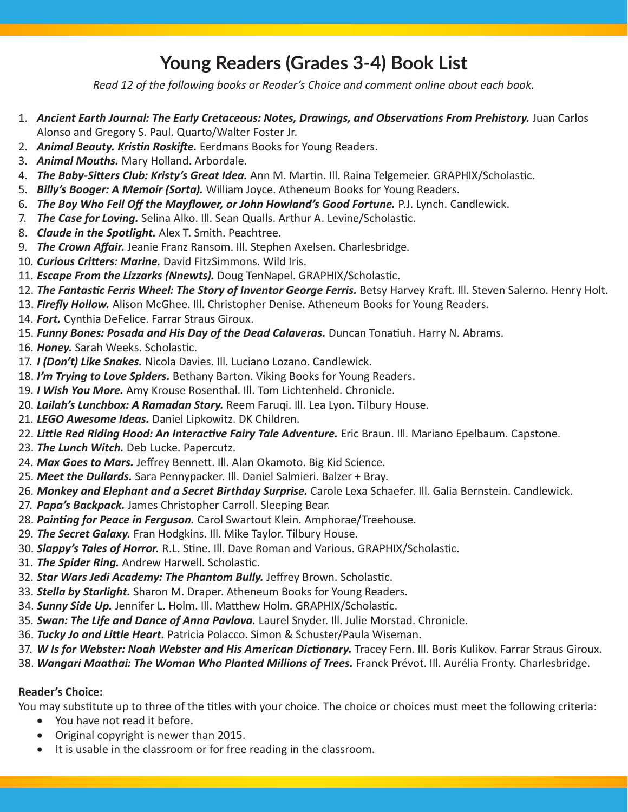# **Young Readers (Grades 3-4) Book List**

*Read 12 of the following books or Reader's Choice and comment online about each book.*

- 1. **Ancient Earth Journal: The Early Cretaceous: Notes, Drawings, and Observations From Prehistory.** Juan Carlos Alonso and Gregory S. Paul. Quarto/Walter Foster Jr.
- 2. *Animal Beauty. Kristin Roskifte.* Eerdmans Books for Young Readers.
- 3. *Animal Mouths.* Mary Holland. Arbordale.
- 4. *The Baby-Sitters Club: Kristy's Great Idea.* Ann M. Martin. Ill. Raina Telgemeier. GRAPHIX/Scholastic.
- 5. *Billy's Booger: A Memoir (Sorta).* William Joyce. Atheneum Books for Young Readers.
- 6. *The Boy Who Fell Off the Mayflower, or John Howland's Good Fortune.* P.J. Lynch. Candlewick.
- 7. *The Case for Loving.* Selina Alko. Ill. Sean Qualls. Arthur A. Levine/Scholastic.
- 8. *Claude in the Spotlight.* Alex T. Smith. Peachtree.
- 9. *The Crown Affair.* Jeanie Franz Ransom. Ill. Stephen Axelsen. Charlesbridge.
- 10. *Curious Critters: Marine.* David FitzSimmons. Wild Iris.
- 11. *Escape From the Lizzarks (Nnewts).* Doug TenNapel. GRAPHIX/Scholastic.
- 12. The Fantastic Ferris Wheel: The Story of Inventor George Ferris. Betsy Harvey Kraft. Ill. Steven Salerno. Henry Holt.
- 13. *Firefly Hollow.* Alison McGhee. Ill. Christopher Denise. Atheneum Books for Young Readers.
- 14. *Fort.* Cynthia DeFelice. Farrar Straus Giroux.
- 15. *Funny Bones: Posada and His Day of the Dead Calaveras.* Duncan Tonatiuh. Harry N. Abrams.
- 16. *Honey.* Sarah Weeks. Scholastic.
- 17. *I (Don't) Like Snakes.* Nicola Davies. Ill. Luciano Lozano. Candlewick.
- 18. *I'm Trying to Love Spiders.* Bethany Barton. Viking Books for Young Readers.
- 19. *I Wish You More.* Amy Krouse Rosenthal. Ill. Tom Lichtenheld. Chronicle.
- 20. *Lailah's Lunchbox: A Ramadan Story.* Reem Faruqi. Ill. Lea Lyon. Tilbury House.
- 21. *LEGO Awesome Ideas.* Daniel Lipkowitz. DK Children.
- 22. Little Red Riding Hood: An Interactive Fairy Tale Adventure. Eric Braun. Ill. Mariano Epelbaum. Capstone.
- 23. *The Lunch Witch.* Deb Lucke. Papercutz.
- 24. *Max Goes to Mars.* Jeffrey Bennett. Ill. Alan Okamoto. Big Kid Science.
- 25. *Meet the Dullards.* Sara Pennypacker. Ill. Daniel Salmieri. Balzer + Bray.
- 26. *Monkey and Elephant and a Secret Birthday Surprise.* Carole Lexa Schaefer. Ill. Galia Bernstein. Candlewick.
- 27. *Papa's Backpack.* James Christopher Carroll. Sleeping Bear.
- 28. *Painting for Peace in Ferguson.* Carol Swartout Klein. Amphorae/Treehouse.
- 29. *The Secret Galaxy.* Fran Hodgkins. Ill. Mike Taylor. Tilbury House.
- 30. *Slappy's Tales of Horror.* R.L. Stine. Ill. Dave Roman and Various. GRAPHIX/Scholastic.
- 31. *The Spider Ring.* Andrew Harwell. Scholastic.
- 32. *Star Wars Jedi Academy: The Phantom Bully.* Jeffrey Brown. Scholastic.
- 33. *Stella by Starlight.* Sharon M. Draper. Atheneum Books for Young Readers.
- 34. *Sunny Side Up.* Jennifer L. Holm. Ill. Matthew Holm. GRAPHIX/Scholastic.
- 35. *Swan: The Life and Dance of Anna Pavlova.* Laurel Snyder. Ill. Julie Morstad. Chronicle.
- 36. *Tucky Jo and Little Heart.* Patricia Polacco. Simon & Schuster/Paula Wiseman.
- 37. W Is for Webster: Noah Webster and His American Dictionary. Tracey Fern. Ill. Boris Kulikov. Farrar Straus Giroux.
- 38. *Wangari Maathai: The Woman Who Planted Millions of Trees.* Franck Prévot. Ill. Aurélia Fronty. Charlesbridge.

## **Reader's Choice:**

You may substitute up to three of the titles with your choice. The choice or choices must meet the following criteria:

- • You have not read it before.
- Original copyright is newer than 2015.
- It is usable in the classroom or for free reading in the classroom.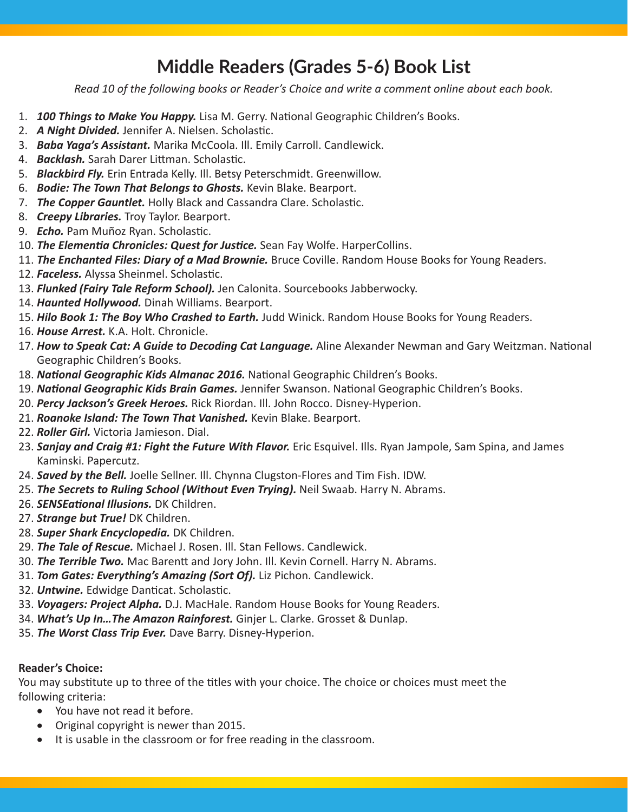## **Middle Readers (Grades 5-6) Book List**

*Read 10 of the following books or Reader's Choice and write a comment online about each book.*

- 1. *100 Things to Make You Happy.* Lisa M. Gerry. National Geographic Children's Books.
- 2. *A Night Divided.* Jennifer A. Nielsen. Scholastic.
- 3. *Baba Yaga's Assistant.* Marika McCoola. Ill. Emily Carroll. Candlewick.
- 4. *Backlash.* Sarah Darer Littman. Scholastic.
- 5. *Blackbird Fly.* Erin Entrada Kelly. Ill. Betsy Peterschmidt. Greenwillow.
- 6. *Bodie: The Town That Belongs to Ghosts.* Kevin Blake. Bearport.
- 7. *The Copper Gauntlet.* Holly Black and Cassandra Clare. Scholastic.
- 8. *Creepy Libraries.* Troy Taylor. Bearport.
- 9. *Echo.* Pam Muñoz Ryan. Scholastic.
- 10. *The Elementia Chronicles: Quest for Justice.* Sean Fay Wolfe. HarperCollins.
- 11. *The Enchanted Files: Diary of a Mad Brownie.* Bruce Coville. Random House Books for Young Readers.
- 12. *Faceless.* Alyssa Sheinmel. Scholastic.
- 13. *Flunked (Fairy Tale Reform School).* Jen Calonita. Sourcebooks Jabberwocky.
- 14. *Haunted Hollywood.* Dinah Williams. Bearport.
- 15. *Hilo Book 1: The Boy Who Crashed to Earth.* Judd Winick. Random House Books for Young Readers.
- 16. *House Arrest.* K.A. Holt. Chronicle.
- 17. *How to Speak Cat: A Guide to Decoding Cat Language.* Aline Alexander Newman and Gary Weitzman. National Geographic Children's Books.
- 18. *National Geographic Kids Almanac 2016.* National Geographic Children's Books.
- 19. *National Geographic Kids Brain Games.* Jennifer Swanson. National Geographic Children's Books.
- 20. *Percy Jackson's Greek Heroes.* Rick Riordan. Ill. John Rocco. Disney-Hyperion.
- 21. *Roanoke Island: The Town That Vanished.* Kevin Blake. Bearport.
- 22. *Roller Girl.* Victoria Jamieson. Dial.
- 23. *Sanjay and Craig #1: Fight the Future With Flavor.* Eric Esquivel. Ills. Ryan Jampole, Sam Spina, and James Kaminski. Papercutz.
- 24. *Saved by the Bell.* Joelle Sellner. Ill. Chynna Clugston-Flores and Tim Fish. IDW.
- 25. *The Secrets to Ruling School (Without Even Trying).* Neil Swaab. Harry N. Abrams.
- 26. *SENSEational Illusions.* DK Children.
- 27. *Strange but True!* DK Children.
- 28. *Super Shark Encyclopedia.* DK Children.
- 29. *The Tale of Rescue.* Michael J. Rosen. Ill. Stan Fellows. Candlewick.
- 30. *The Terrible Two.* Mac Barentt and Jory John. Ill. Kevin Cornell. Harry N. Abrams.
- 31. *Tom Gates: Everything's Amazing (Sort Of).* Liz Pichon. Candlewick.
- 32. *Untwine.* Edwidge Danticat. Scholastic.
- 33. *Voyagers: Project Alpha.* D.J. MacHale. Random House Books for Young Readers.
- 34. *What's Up In…The Amazon Rainforest.* Ginjer L. Clarke. Grosset & Dunlap.
- 35. *The Worst Class Trip Ever.* Dave Barry. Disney-Hyperion.

## **Reader's Choice:**

You may substitute up to three of the titles with your choice. The choice or choices must meet the following criteria:

- You have not read it before.
- • Original copyright is newer than 2015.
- It is usable in the classroom or for free reading in the classroom.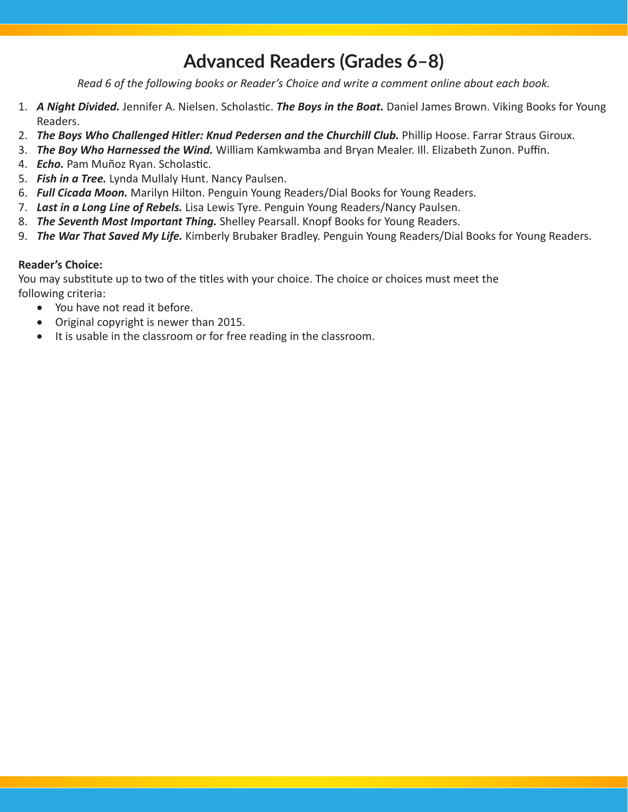# **Advanced Readers (Grades 6–8)**

*Read 6 of the following books or Reader's Choice and write a comment online about each book.*

- 1. *A Night Divided.* Jennifer A. Nielsen. Scholastic. *The Boys in the Boat.* Daniel James Brown. Viking Books for Young Readers.
- 2. *The Boys Who Challenged Hitler: Knud Pedersen and the Churchill Club.* Phillip Hoose. Farrar Straus Giroux.
- 3. *The Boy Who Harnessed the Wind.* William Kamkwamba and Bryan Mealer. Ill. Elizabeth Zunon. Puffin.
- 4. *Echo.* Pam Muñoz Ryan. Scholastic.
- 5. *Fish in a Tree.* Lynda Mullaly Hunt. Nancy Paulsen.
- 6. *Full Cicada Moon.* Marilyn Hilton. Penguin Young Readers/Dial Books for Young Readers.
- 7. *Last in a Long Line of Rebels.* Lisa Lewis Tyre. Penguin Young Readers/Nancy Paulsen.
- 8. *The Seventh Most Important Thing.* Shelley Pearsall. Knopf Books for Young Readers.
- 9. *The War That Saved My Life.* Kimberly Brubaker Bradley. Penguin Young Readers/Dial Books for Young Readers.

#### **Reader's Choice:**

You may substitute up to two of the titles with your choice. The choice or choices must meet the following criteria:

- • You have not read it before.
- • Original copyright is newer than 2015.
- It is usable in the classroom or for free reading in the classroom.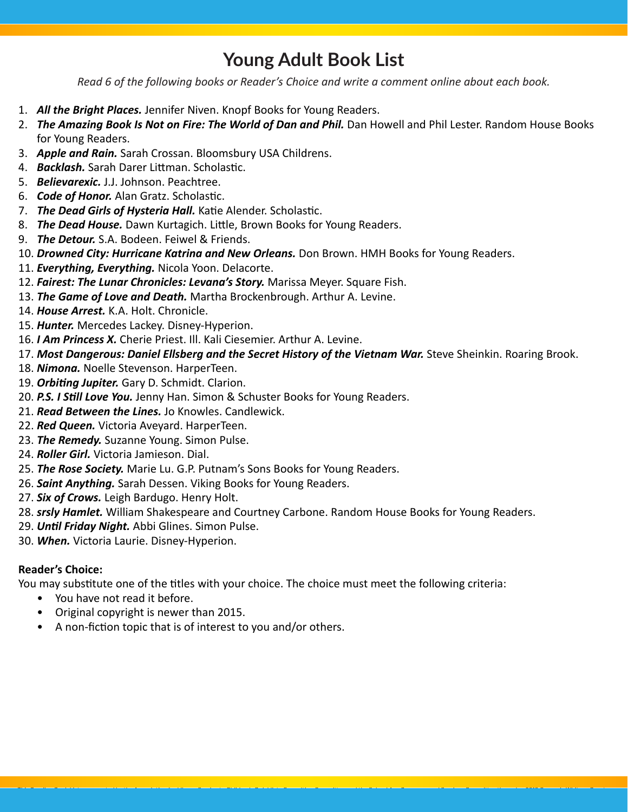## **Young Adult Book List**

*Read 6 of the following books or Reader's Choice and write a comment online about each book.*

- 1. *All the Bright Places.* Jennifer Niven. Knopf Books for Young Readers.
- 2. *The Amazing Book Is Not on Fire: The World of Dan and Phil.* Dan Howell and Phil Lester. Random House Books for Young Readers.
- 3. *Apple and Rain.* Sarah Crossan. Bloomsbury USA Childrens.
- 4. *Backlash.* Sarah Darer Littman. Scholastic.
- 5. *Believarexic.* J.J. Johnson. Peachtree.
- 6. *Code of Honor.* Alan Gratz. Scholastic.
- 7. *The Dead Girls of Hysteria Hall.* Katie Alender. Scholastic.
- 8. *The Dead House.* Dawn Kurtagich. Little, Brown Books for Young Readers.
- 9. *The Detour.* S.A. Bodeen. Feiwel & Friends.
- 10. *Drowned City: Hurricane Katrina and New Orleans.* Don Brown. HMH Books for Young Readers.
- 11. *Everything, Everything.* Nicola Yoon. Delacorte.
- 12. *Fairest: The Lunar Chronicles: Levana's Story.* Marissa Meyer. Square Fish.
- 13. *The Game of Love and Death.* Martha Brockenbrough. Arthur A. Levine.
- 14. *House Arrest.* K.A. Holt. Chronicle.
- 15. *Hunter.* Mercedes Lackey. Disney-Hyperion.
- 16. *I Am Princess X.* Cherie Priest. Ill. Kali Ciesemier. Arthur A. Levine.
- 17. Most Dangerous: Daniel Ellsberg and the Secret History of the Vietnam War. Steve Sheinkin. Roaring Brook.
- 18. *Nimona.* Noelle Stevenson. HarperTeen.
- 19. *Orbiting Jupiter.* Gary D. Schmidt. Clarion.
- 20. *P.S. I Still Love You.* Jenny Han. Simon & Schuster Books for Young Readers.
- 21. *Read Between the Lines.* Jo Knowles. Candlewick.
- 22. *Red Queen.* Victoria Aveyard. HarperTeen.
- 23. *The Remedy.* Suzanne Young. Simon Pulse.
- 24. *Roller Girl.* Victoria Jamieson. Dial.
- 25. *The Rose Society.* Marie Lu. G.P. Putnam's Sons Books for Young Readers.
- 26. *Saint Anything.* Sarah Dessen. Viking Books for Young Readers.
- 27. *Six of Crows.* Leigh Bardugo. Henry Holt.
- 28. *srsly Hamlet.* William Shakespeare and Courtney Carbone. Random House Books for Young Readers.
- 29. *Until Friday Night.* Abbi Glines. Simon Pulse.
- 30. *When.* Victoria Laurie. Disney-Hyperion.

### **Reader's Choice:**

You may substitute one of the titles with your choice. The choice must meet the following criteria:

*This Reading Book List was created by the Association for Library Service to Children's Quicklists Consulting Committee and the School Age Programs and Services Committee through a 2013 Carnegie Whitney Grant* 

- You have not read it before.
- Original copyright is newer than 2015.
- A non-fiction topic that is of interest to you and/or others.